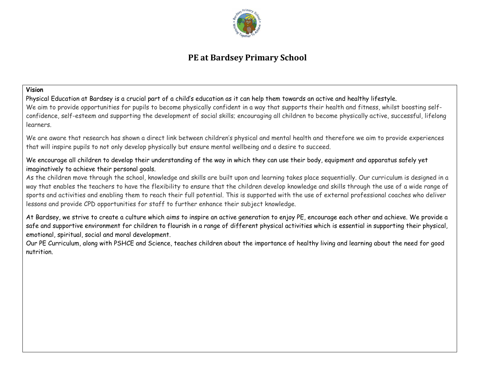

# **PE at Bardsey Primary School**

#### **Vision**

Physical Education at Bardsey is a crucial part of a child's education as it can help them towards an active and healthy lifestyle. We aim to provide opportunities for pupils to become physically confident in a way that supports their health and fitness, whilst boosting selfconfidence, self-esteem and supporting the development of social skills; encouraging all children to become physically active, successful, lifelong learners.

We are aware that research has shown a direct link between children's physical and mental health and therefore we aim to provide experiences that will inspire pupils to not only develop physically but ensure mental wellbeing and a desire to succeed.

We encourage all children to develop their understanding of the way in which they can use their body, equipment and apparatus safely yet imaginatively to achieve their personal goals.

As the children move through the school, knowledge and skills are built upon and learning takes place sequentially. Our curriculum is designed in a way that enables the teachers to have the flexibility to ensure that the children develop knowledge and skills through the use of a wide range of sports and activities and enabling them to reach their full potential. This is supported with the use of external professional coaches who deliver lessons and provide CPD opportunities for staff to further enhance their subject knowledge.

At Bardsey, we strive to create a culture which aims to inspire an active generation to enjoy PE, encourage each other and achieve. We provide a safe and supportive environment for children to flourish in a range of different physical activities which is essential in supporting their physical, emotional, spiritual, social and moral development.

Our PE Curriculum, along with PSHCE and Science, teaches children about the importance of healthy living and learning about the need for good nutrition.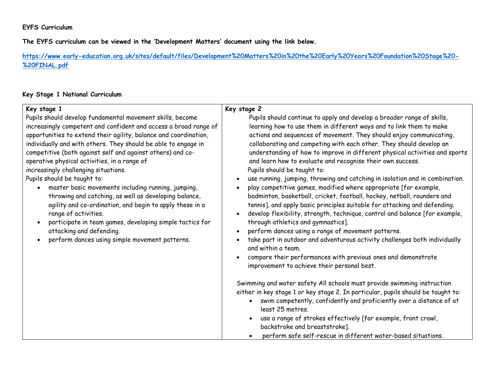### **EYFS Curriculum**

**The EYFS curriculum can be viewed in the 'Development Matters' document using the link below.**

**[https://www.early-education.org.uk/sites/default/files/Development%20Matters%20in%20the%20Early%20Years%20Foundation%20Stage%20-](https://www.early-education.org.uk/sites/default/files/Development%20Matters%20in%20the%20Early%20Years%20Foundation%20Stage%20-%20FINAL.pdf) [%20FINAL.pdf](https://www.early-education.org.uk/sites/default/files/Development%20Matters%20in%20the%20Early%20Years%20Foundation%20Stage%20-%20FINAL.pdf)**

# **Key Stage 1 National Curriculum**

| Key stage 1                                                                                                                                                                                                                                                                                                                                                                                                                                                                                                                                                                                                                                                                                                                                                                                                                     | Key stage 2                                                                                                                                                                                                                                                                                                                                                                                                                                                                                                                                                                                                                                                                                                                                                                                                                                                                                                                                                                                                                                                                                                                                                                        |
|---------------------------------------------------------------------------------------------------------------------------------------------------------------------------------------------------------------------------------------------------------------------------------------------------------------------------------------------------------------------------------------------------------------------------------------------------------------------------------------------------------------------------------------------------------------------------------------------------------------------------------------------------------------------------------------------------------------------------------------------------------------------------------------------------------------------------------|------------------------------------------------------------------------------------------------------------------------------------------------------------------------------------------------------------------------------------------------------------------------------------------------------------------------------------------------------------------------------------------------------------------------------------------------------------------------------------------------------------------------------------------------------------------------------------------------------------------------------------------------------------------------------------------------------------------------------------------------------------------------------------------------------------------------------------------------------------------------------------------------------------------------------------------------------------------------------------------------------------------------------------------------------------------------------------------------------------------------------------------------------------------------------------|
| Pupils should develop fundamental movement skills, become<br>increasingly competent and confident and access a broad range of<br>opportunities to extend their agility, balance and coordination,<br>individually and with others. They should be able to engage in<br>competitive (both against self and against others) and co-<br>operative physical activities, in a range of<br>increasingly challenging situations.<br>Pupils should be taught to:<br>master basic movements including running, jumping,<br>throwing and catching, as well as developing balance,<br>agility and co-ordination, and begin to apply these in a<br>range of activities.<br>participate in team games, developing simple tactics for<br>$\bullet$<br>attacking and defending.<br>perform dances using simple movement patterns.<br>$\bullet$ | Pupils should continue to apply and develop a broader range of skills,<br>learning how to use them in different ways and to link them to make<br>actions and sequences of movement. They should enjoy communicating,<br>collaborating and competing with each other. They should develop an<br>understanding of how to improve in different physical activities and sports<br>and learn how to evaluate and recognise their own success.<br>Pupils should be taught to:<br>use running, jumping, throwing and catching in isolation and in combination.<br>play competitive games, modified where appropriate [for example,<br>badminton, basketball, cricket, football, hockey, netball, rounders and<br>tennis], and apply basic principles suitable for attacking and defending.<br>develop flexibility, strength, technique, control and balance [for example,<br>through athletics and gymnastics].<br>perform dances using a range of movement patterns.<br>take part in outdoor and adventurous activity challenges both individually<br>and within a team.<br>compare their performances with previous ones and demonstrate<br>improvement to achieve their personal best. |
|                                                                                                                                                                                                                                                                                                                                                                                                                                                                                                                                                                                                                                                                                                                                                                                                                                 | Swimming and water safety All schools must provide swimming instruction<br>either in key stage 1 or key stage 2. In particular, pupils should be taught to:<br>swim competently, confidently and proficiently over a distance of at<br>least 25 metres.<br>use a range of strokes effectively [for example, front crawl,<br>backstroke and breaststroke].<br>perform safe self-rescue in different water-based situations.                                                                                                                                                                                                                                                                                                                                                                                                                                                                                                                                                                                                                                                                                                                                                         |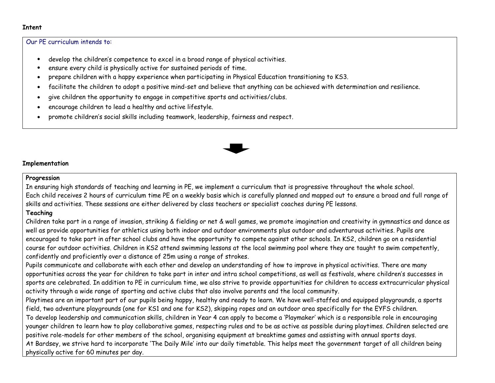#### **Intent**

#### Our PE curriculum intends to:

- develop the children's competence to excel in a broad range of physical activities.
- ensure every child is physically active for sustained periods of time.
- prepare children with a happy experience when participating in Physical Education transitioning to KS3.
- facilitate the children to adopt a positive mind-set and believe that anything can be achieved with determination and resilience.
- give children the opportunity to engage in competitive sports and activities/clubs.
- encourage children to lead a healthy and active lifestyle.
- promote children's social skills including teamwork, leadership, fairness and respect.



#### **Implementation**

#### **Progression**

In ensuring high standards of teaching and learning in PE, we implement a curriculum that is progressive throughout the whole school. Each child receives 2 hours of curriculum time PE on a weekly basis which is carefully planned and mapped out to ensure a broad and full range of skills and activities. These sessions are either delivered by class teachers or specialist coaches during PE lessons.

# **Teaching**

Children take part in a range of invasion, striking & fielding or net & wall games, we promote imagination and creativity in gymnastics and dance as well as provide opportunities for athletics using both indoor and outdoor environments plus outdoor and adventurous activities. Pupils are encouraged to take part in after school clubs and have the opportunity to compete against other schools. In KS2, children go on a residential course for outdoor activities. Children in KS2 attend swimming lessons at the local swimming pool where they are taught to swim competently, confidently and proficiently over a distance of 25m using a range of strokes.

Pupils communicate and collaborate with each other and develop an understanding of how to improve in physical activities. There are many opportunities across the year for children to take part in inter and intra school competitions, as well as festivals, where children's successes in sports are celebrated. In addition to PE in curriculum time, we also strive to provide opportunities for children to access extracurricular physical activity through a wide range of sporting and active clubs that also involve parents and the local community.

Playtimes are an important part of our pupils being happy, healthy and ready to learn. We have well-staffed and equipped playgrounds, a sports field, two adventure playgrounds (one for KS1 and one for KS2), skipping ropes and an outdoor area specifically for the EYFS children.

To develop leadership and communication skills, children in Year 4 can apply to become a 'Playmaker' which is a responsible role in encouraging younger children to learn how to play collaborative games, respecting rules and to be as active as possible during playtimes. Children selected are positive role-models for other members of the school, organising equipment at breaktime games and assisting with annual sports days.

At Bardsey, we strive hard to incorporate 'The Daily Mile' into our daily timetable. This helps meet the government target of all children being physically active for 60 minutes per day.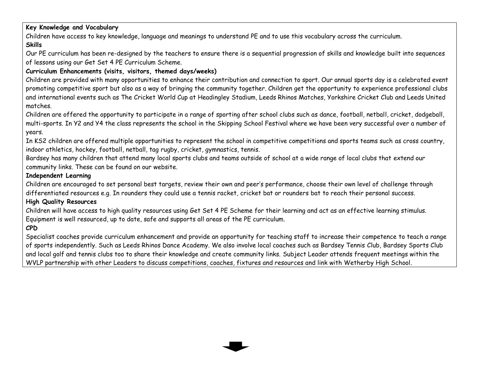# **Key Knowledge and Vocabulary**

Children have access to key knowledge, language and meanings to understand PE and to use this vocabulary across the curriculum. **Skills**

Our PE curriculum has been re-designed by the teachers to ensure there is a sequential progression of skills and knowledge built into sequences of lessons using our Get Set 4 PE Curriculum Scheme.

# **Curriculum Enhancements (visits, visitors, themed days/weeks)**

Children are provided with many opportunities to enhance their contribution and connection to sport. Our annual sports day is a celebrated event promoting competitive sport but also as a way of bringing the community together. Children get the opportunity to experience professional clubs and international events such as The Cricket World Cup at Headingley Stadium, Leeds Rhinos Matches, Yorkshire Cricket Club and Leeds United matches.

Children are offered the opportunity to participate in a range of sporting after school clubs such as dance, football, netball, cricket, dodgeball, multi-sports. In Y2 and Y4 the class represents the school in the Skipping School Festival where we have been very successful over a number of years.

In KS2 children are offered multiple opportunities to represent the school in competitive competitions and sports teams such as cross country, indoor athletics, hockey, football, netball, tag rugby, cricket, gymnastics, tennis.

Bardsey has many children that attend many local sports clubs and teams outside of school at a wide range of local clubs that extend our community links. These can be found on our website.

### **Independent Learning**

Children are encouraged to set personal best targets, review their own and peer's performance, choose their own level of challenge through differentiated resources e.g. In rounders they could use a tennis racket, cricket bat or rounders bat to reach their personal success.

# **High Quality Resources**

Children will have access to high quality resources using Get Set 4 PE Scheme for their learning and act as an effective learning stimulus. Equipment is well resourced, up to date, safe and supports all areas of the PE curriculum.

# **CPD**

Specialist coaches provide curriculum enhancement and provide an opportunity for teaching staff to increase their competence to teach a range of sports independently. Such as Leeds Rhinos Dance Academy. We also involve local coaches such as Bardsey Tennis Club, Bardsey Sports Club and local golf and tennis clubs too to share their knowledge and create community links. Subject Leader attends frequent meetings within the WVLP partnership with other Leaders to discuss competitions, coaches, fixtures and resources and link with Wetherby High School.

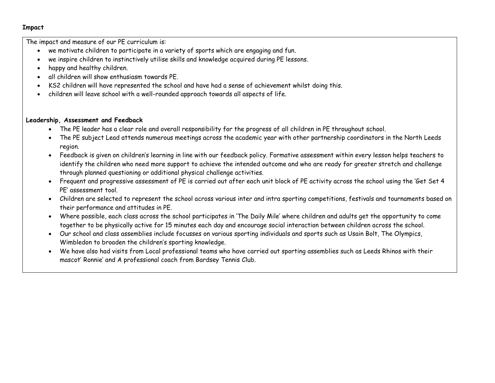#### **Impact**

The impact and measure of our PE curriculum is:

- we motivate children to participate in a variety of sports which are engaging and fun.
- we inspire children to instinctively utilise skills and knowledge acquired during PE lessons.
- happy and healthy children.
- all children will show enthusiasm towards PE.
- KS2 children will have represented the school and have had a sense of achievement whilst doing this.
- children will leave school with a well-rounded approach towards all aspects of life.

### **Leadership, Assessment and Feedback**

- The PE leader has a clear role and overall responsibility for the progress of all children in PE throughout school.
- The PE subject Lead attends numerous meetings across the academic year with other partnership coordinators in the North Leeds region.
- Feedback is given on children's learning in line with our feedback policy. Formative assessment within every lesson helps teachers to identify the children who need more support to achieve the intended outcome and who are ready for greater stretch and challenge through planned questioning or additional physical challenge activities.
- Frequent and progressive assessment of PE is carried out after each unit block of PE activity across the school using the 'Get Set 4 PE' assessment tool.
- Children are selected to represent the school across various inter and intra sporting competitions, festivals and tournaments based on their performance and attitudes in PE.
- Where possible, each class across the school participates in 'The Daily Mile' where children and adults get the opportunity to come together to be physically active for 15 minutes each day and encourage social interaction between children across the school.
- Our school and class assemblies include focusses on various sporting individuals and sports such as Usain Bolt, The Olympics, Wimbledon to broaden the children's sporting knowledge.
- We have also had visits from Local professional teams who have carried out sporting assemblies such as Leeds Rhinos with their mascot' Ronnie' and A professional coach from Bardsey Tennis Club.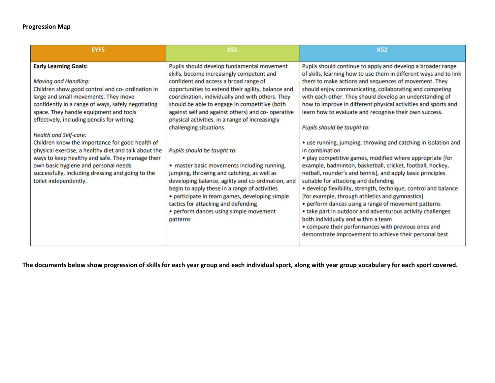# **Progression Map**

| <b>EYFS</b>                                                                                                                                                                                                                                                                                                                                                                                                                                                                                                                                                                                                          | <b>KS1</b>                                                                                                                                                                                                                                                                                                                                                                                                                                                                                                                                                                                                                                                                                                                                                                                                        | KS <sub>2</sub>                                                                                                                                                                                                                                                                                                                                                                                                                                                                                                                                                                                                                                                                                                                                                                                                                                                                                                                                                                                                                                                                                                                                                                                    |  |
|----------------------------------------------------------------------------------------------------------------------------------------------------------------------------------------------------------------------------------------------------------------------------------------------------------------------------------------------------------------------------------------------------------------------------------------------------------------------------------------------------------------------------------------------------------------------------------------------------------------------|-------------------------------------------------------------------------------------------------------------------------------------------------------------------------------------------------------------------------------------------------------------------------------------------------------------------------------------------------------------------------------------------------------------------------------------------------------------------------------------------------------------------------------------------------------------------------------------------------------------------------------------------------------------------------------------------------------------------------------------------------------------------------------------------------------------------|----------------------------------------------------------------------------------------------------------------------------------------------------------------------------------------------------------------------------------------------------------------------------------------------------------------------------------------------------------------------------------------------------------------------------------------------------------------------------------------------------------------------------------------------------------------------------------------------------------------------------------------------------------------------------------------------------------------------------------------------------------------------------------------------------------------------------------------------------------------------------------------------------------------------------------------------------------------------------------------------------------------------------------------------------------------------------------------------------------------------------------------------------------------------------------------------------|--|
| <b>Early Learning Goals:</b><br>Moving and Handling:<br>Children show good control and co- ordination in<br>large and small movements. They move<br>confidently in a range of ways, safely negotiating<br>space. They handle equipment and tools<br>effectively, including pencils for writing.<br><b>Health and Self-care:</b><br>Children know the importance for good health of<br>physical exercise, a healthy diet and talk about the<br>ways to keep healthy and safe. They manage their<br>own basic hygiene and personal needs<br>successfully, including dressing and going to the<br>toilet independently. | Pupils should develop fundamental movement<br>skills, become increasingly competent and<br>confident and access a broad range of<br>opportunities to extend their agility, balance and<br>coordination, individually and with others. They<br>should be able to engage in competitive (both<br>against self and against others) and co- operative<br>physical activities, in a range of increasingly<br>challenging situations.<br>Pupils should be taught to:<br>• master basic movements including running,<br>jumping, throwing and catching, as well as<br>developing balance, agility and co-ordination, and<br>begin to apply these in a range of activities<br>· participate in team games, developing simple<br>tactics for attacking and defending<br>• perform dances using simple movement<br>patterns | Pupils should continue to apply and develop a broader range<br>of skills, learning how to use them in different ways and to link<br>them to make actions and sequences of movement. They<br>should enjoy communicating, collaborating and competing<br>with each other. They should develop an understanding of<br>how to improve in different physical activities and sports and<br>learn how to evaluate and recognise their own success.<br>Pupils should be taught to:<br>• use running, jumping, throwing and catching in isolation and<br>in combination<br>. play competitive games, modified where appropriate [for<br>example, badminton, basketball, cricket, football, hockey,<br>netball, rounder's and tennis], and apply basic principles<br>suitable for attacking and defending<br>· develop flexibility, strength, technique, control and balance<br>[for example, through athletics and gymnastics]<br>• perform dances using a range of movement patterns<br>• take part in outdoor and adventurous activity challenges<br>both individually and within a team<br>• compare their performances with previous ones and<br>demonstrate improvement to achieve their personal best |  |

**The documents below show progression of skills for each year group and each individual sport, along with year group vocabulary for each sport covered.**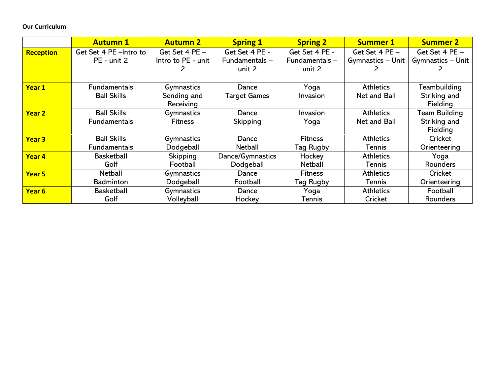# **Our Curriculum**

|                   | <b>Autumn 1</b>         | <b>Autumn 2</b>    | <b>Spring 1</b>     | <b>Spring 2</b> | <b>Summer 1</b>    | <b>Summer 2</b>   |
|-------------------|-------------------------|--------------------|---------------------|-----------------|--------------------|-------------------|
| Reception         | Get Set 4 PE - Intro to | Get Set $4$ PE $-$ | Get Set 4 PE -      | Get Set 4 PE -  | Get Set $4$ PE $-$ | Get Set 4 PE -    |
|                   | PE - unit 2             | Intro to PE - unit | Fundamentals-       | Fundamentals-   | Gymnastics - Unit  | Gymnastics - Unit |
|                   |                         |                    | unit 2              | unit 2          |                    |                   |
|                   |                         |                    |                     |                 |                    |                   |
| Year 1            | <b>Fundamentals</b>     | Gymnastics         | Dance               | Yoga            | <b>Athletics</b>   | Teambuilding      |
|                   | <b>Ball Skills</b>      | Sending and        | <b>Target Games</b> | Invasion        | Net and Ball       | Striking and      |
|                   |                         | Receiving          |                     |                 |                    | Fielding          |
| <b>Year 2</b>     | <b>Ball Skills</b>      | Gymnastics         | Dance               | Invasion        | <b>Athletics</b>   | Team Building     |
|                   | <b>Fundamentals</b>     | <b>Fitness</b>     | Skipping            | Yoga            | Net and Ball       | Striking and      |
|                   |                         |                    |                     |                 |                    | Fielding          |
| <b>Year 3</b>     | <b>Ball Skills</b>      | Gymnastics         | Dance               | <b>Fitness</b>  | <b>Athletics</b>   | Cricket           |
|                   | <b>Fundamentals</b>     | Dodgeball          | <b>Netball</b>      | Tag Rugby       | <b>Tennis</b>      | Orienteering      |
| Year 4            | <b>Basketball</b>       | Skipping           | Dance/Gymnastics    | Hockey          | <b>Athletics</b>   | Yoga              |
|                   | Golf                    | Football           | Dodgeball           | <b>Netball</b>  | Tennis             | Rounders          |
| Year 5            | Netball                 | Gymnastics         | Dance               | <b>Fitness</b>  | <b>Athletics</b>   | Cricket           |
|                   | <b>Badminton</b>        | Dodgeball          | Football            | Tag Rugby       | Tennis             | Orienteering      |
| Year <sub>6</sub> | <b>Basketball</b>       | Gymnastics         | Dance               | Yoga            | <b>Athletics</b>   | Football          |
|                   | Golf                    | Volleyball         | Hockey              | Tennis          | Cricket            | <b>Rounders</b>   |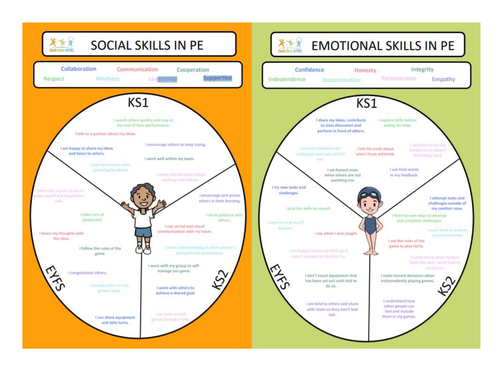